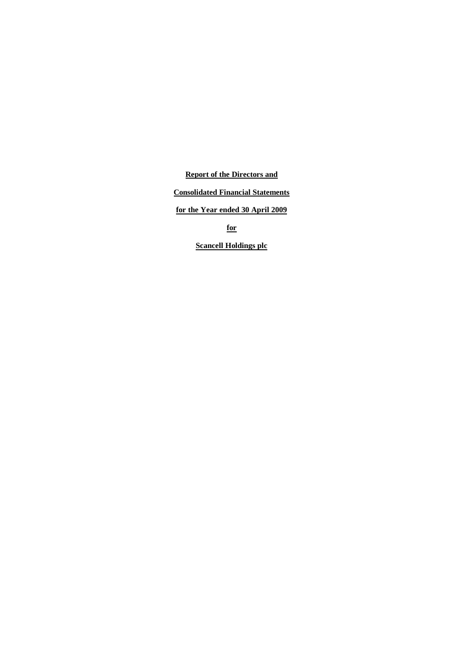**Report of the Directors and**

# **Consolidated Financial Statements**

**for the Year ended 30 April 2009**

**for**

**Scancell Holdings plc**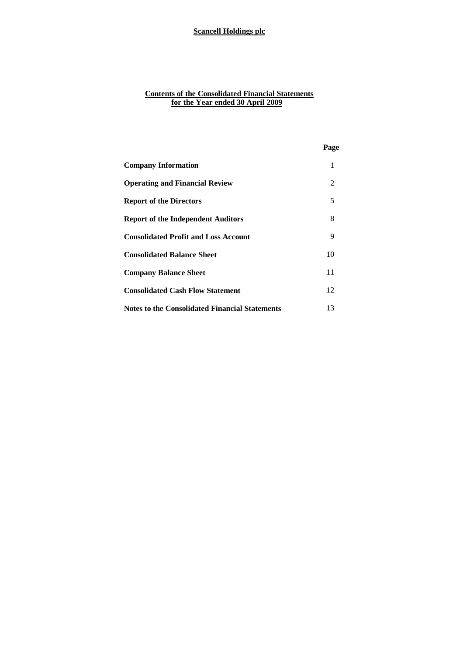### **Contents of the Consolidated Financial Statements for the Year ended 30 April 2009**

|                                                | Page |
|------------------------------------------------|------|
| <b>Company Information</b>                     | 1    |
| <b>Operating and Financial Review</b>          | 2    |
| <b>Report of the Directors</b>                 | 5    |
| <b>Report of the Independent Auditors</b>      | 8    |
| <b>Consolidated Profit and Loss Account</b>    | 9    |
| <b>Consolidated Balance Sheet</b>              | 10   |
| <b>Company Balance Sheet</b>                   | 11   |
| <b>Consolidated Cash Flow Statement</b>        | 12   |
| Notes to the Consolidated Financial Statements | 13   |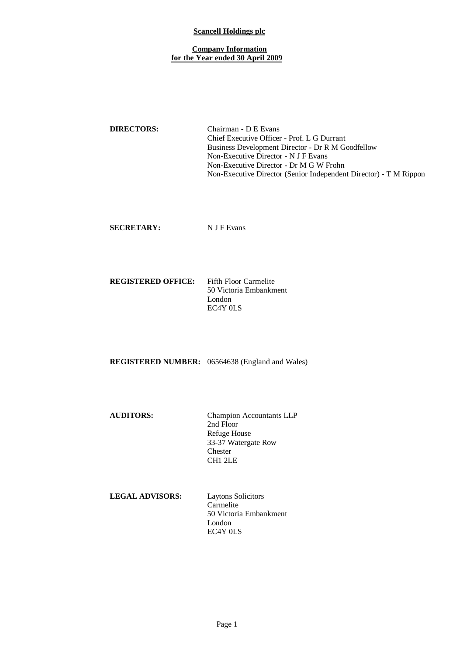## **Company Information for the Year ended 30 April 2009**

**DIRECTORS:** Chairman **-** D E Evans Chief Executive Officer - Prof. L G Durrant Business Development Director - Dr R M Goodfellow Non-Executive Director - N J F Evans Non-Executive Director - Dr M G W Frohn Non-Executive Director (Senior Independent Director) - T M Rippon

**SECRETARY:** NJF Evans

#### **REGISTERED OFFICE:** Fifth Floor Carmelite 50 Victoria Embankment London EC4Y 0LS

**REGISTERED NUMBER:** 06564638 (England and Wales)

**AUDITORS:** Champion Accountants LLP 2nd Floor Refuge House 33-37 Watergate Row Chester CH1 2LE

| <b>LEGAL ADVISORS:</b> | Laytons Solicitors     |
|------------------------|------------------------|
|                        | Carmelite              |
|                        | 50 Victoria Embankment |
|                        | London                 |
|                        | EC4Y OLS               |
|                        |                        |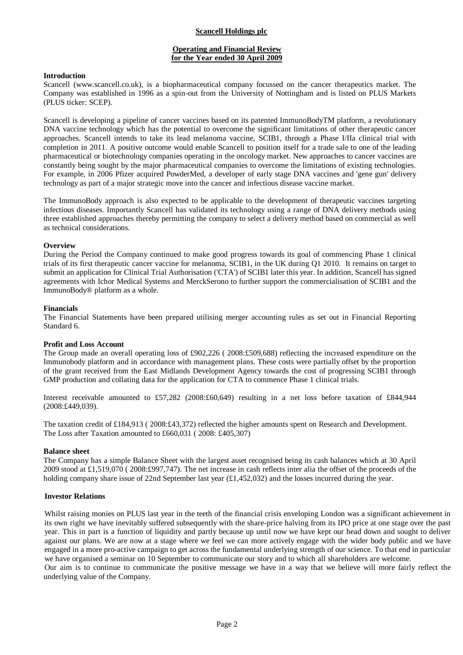## **Operating and Financial Review for the Year ended 30 April 2009**

### **Introduction**

Scancell (www.scancell.co.uk), is a biopharmaceutical company focussed on the cancer therapeutics market. The Company was established in 1996 as a spin-out from the University of Nottingham and is listed on PLUS Markets (PLUS ticker: SCEP).

Scancell is developing a pipeline of cancer vaccines based on its patented ImmunoBodyTM platform, a revolutionary DNA vaccine technology which has the potential to overcome the significant limitations of other therapeutic cancer approaches. Scancell intends to take its lead melanoma vaccine, SCIB1, through a Phase I/IIa clinical trial with completion in 2011. A positive outcome would enable Scancell to position itself for a trade sale to one of the leading pharmaceutical or biotechnology companies operating in the oncology market. New approaches to cancer vaccines are constantly being sought by the major pharmaceutical companies to overcome the limitations of existing technologies. For example, in 2006 Pfizer acquired PowderMed, a developer of early stage DNA vaccines and 'gene gun' delivery technology as part of a major strategic move into the cancer and infectious disease vaccine market.

The ImmunoBody approach is also expected to be applicable to the development of therapeutic vaccines targeting infectious diseases. Importantly Scancell has validated its technology using a range of DNA delivery methods using three established approaches thereby permitting the company to select a delivery method based on commercial as well as technical considerations.

### **Overview**

During the Period the Company continued to make good progress towards its goal of commencing Phase 1 clinical trials of its first therapeutic cancer vaccine for melanoma, SCIB1, in the UK during Q1 2010. It remains on target to submit an application for Clinical Trial Authorisation ('CTA') of SCIB1 later this year. In addition, Scancell has signed agreements with Ichor Medical Systems and MerckSerono to further support the commercialisation of SCIB1 and the ImmunoBody® platform as a whole.

### **Financials**

The Financial Statements have been prepared utilising merger accounting rules as set out in Financial Reporting Standard 6.

### **Profit and Loss Account**

The Group made an overall operating loss of £902,226 ( 2008:£509,688) reflecting the increased expenditure on the Immunobody platform and in accordance with management plans. These costs were partially offset by the proportion of the grant received from the East Midlands Development Agency towards the cost of progressing SCIB1 through GMP production and collating data for the application for CTA to commence Phase 1 clinical trials.

Interest receivable amounted to £57,282 (2008:£60,649) resulting in a net loss before taxation of £844,944 (2008:£449,039).

The taxation credit of £184,913 ( 2008:£43,372) reflected the higher amounts spent on Research and Development. The Loss after Taxation amounted to £660,031 ( 2008: £405,307)

### **Balance sheet**

The Company has a simple Balance Sheet with the largest asset recognised being its cash balances which at 30 April 2009 stood at £1,519,070 ( 2008:£997,747). The net increase in cash reflects inter alia the offset of the proceeds of the holding company share issue of 22nd September last year (£1,452,032) and the losses incurred during the year.

### **Investor Relations**

Whilst raising monies on PLUS last year in the teeth of the financial crisis enveloping London was a significant achievement in its own right we have inevitably suffered subsequently with the share-price halving from its IPO price at one stage over the past year. This in part is a function of liquidity and partly because up until now we have kept our head down and sought to deliver against our plans. We are now at a stage where we feel we can more actively engage with the wider body public and we have engaged in a more pro-active campaign to get across the fundamental underlying strength of our science. To that end in particular we have organised a seminar on 10 September to communicate our story and to which all shareholders are welcome. Our aim is to continue to communicate the positive message we have in a way that we believe will more fairly reflect the

underlying value of the Company.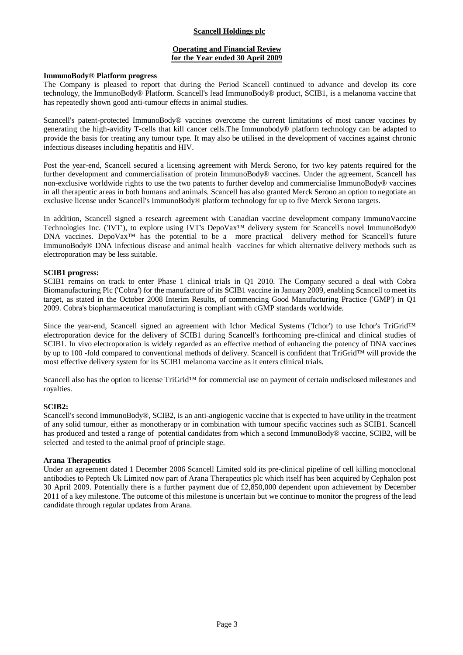## **Operating and Financial Review for the Year ended 30 April 2009**

### **ImmunoBody® Platform progress**

The Company is pleased to report that during the Period Scancell continued to advance and develop its core technology, the ImmunoBody® Platform. Scancell's lead ImmunoBody® product, SCIB1, is a melanoma vaccine that has repeatedly shown good anti-tumour effects in animal studies.

Scancell's patent-protected ImmunoBody® vaccines overcome the current limitations of most cancer vaccines by generating the high-avidity T-cells that kill cancer cells.The Immunobody® platform technology can be adapted to provide the basis for treating any tumour type. It may also be utilised in the development of vaccines against chronic infectious diseases including hepatitis and HIV.

Post the year-end, Scancell secured a licensing agreement with Merck Serono, for two key patents required for the further development and commercialisation of protein ImmunoBody® vaccines. Under the agreement, Scancell has non-exclusive worldwide rights to use the two patents to further develop and commercialise ImmunoBody® vaccines in all therapeutic areas in both humans and animals. Scancell has also granted Merck Serono an option to negotiate an exclusive license under Scancell's ImmunoBody® platform technology for up to five Merck Serono targets.

In addition, Scancell signed a research agreement with Canadian vaccine development company ImmunoVaccine Technologies Inc. ('IVT'), to explore using IVT's DepoVax™ delivery system for Scancell's novel ImmunoBody® DNA vaccines. DepoVax<sup>™</sup> has the potential to be a more practical delivery method for Scancell's future ImmunoBody® DNA infectious disease and animal health vaccines for which alternative delivery methods such as electroporation may be less suitable.

### **SCIB1 progress:**

SCIB1 remains on track to enter Phase 1 clinical trials in Q1 2010. The Company secured a deal with Cobra Biomanufacturing Plc ('Cobra') for the manufacture of its SCIB1 vaccine in January 2009, enabling Scancell to meet its target, as stated in the October 2008 Interim Results, of commencing Good Manufacturing Practice ('GMP') in Q1 2009. Cobra's biopharmaceutical manufacturing is compliant with cGMP standards worldwide.

Since the year-end, Scancell signed an agreement with Ichor Medical Systems ('Ichor') to use Ichor's TriGrid™ electroporation device for the delivery of SCIB1 during Scancell's forthcoming pre-clinical and clinical studies of SCIB1. In vivo electroporation is widely regarded as an effective method of enhancing the potency of DNA vaccines by up to 100 -fold compared to conventional methods of delivery. Scancell is confident that TriGrid™ will provide the most effective delivery system for its SCIB1 melanoma vaccine as it enters clinical trials.

Scancell also has the option to license TriGrid™ for commercial use on payment of certain undisclosed milestones and royalties.

## **SCIB2:**

Scancell's second ImmunoBody®, SCIB2, is an anti-angiogenic vaccine that is expected to have utility in the treatment of any solid tumour, either as monotherapy or in combination with tumour specific vaccines such as SCIB1. Scancell has produced and tested a range of potential candidates from which a second ImmunoBody® vaccine, SCIB2, will be selected and tested to the animal proof of principle stage.

#### **Arana Therapeutics**

Under an agreement dated 1 December 2006 Scancell Limited sold its pre-clinical pipeline of cell killing monoclonal antibodies to Peptech Uk Limited now part of Arana Therapeutics plc which itself has been acquired by Cephalon post 30 April 2009. Potentially there is a further payment due of £2,850,000 dependent upon achievement by December 2011 of a key milestone. The outcome of this milestone is uncertain but we continue to monitor the progress of the lead candidate through regular updates from Arana.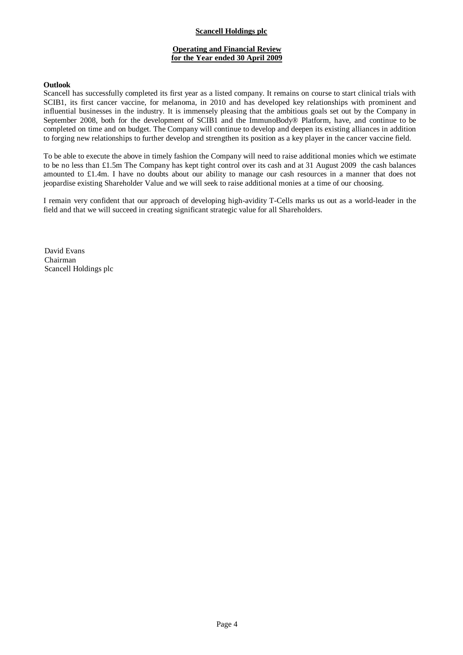## **Operating and Financial Review for the Year ended 30 April 2009**

### **Outlook**

Scancell has successfully completed its first year as a listed company. It remains on course to start clinical trials with SCIB1, its first cancer vaccine, for melanoma, in 2010 and has developed key relationships with prominent and influential businesses in the industry. It is immensely pleasing that the ambitious goals set out by the Company in September 2008, both for the development of SCIB1 and the ImmunoBody® Platform, have, and continue to be completed on time and on budget. The Company will continue to develop and deepen its existing alliances in addition to forging new relationships to further develop and strengthen its position as a key player in the cancer vaccine field.

To be able to execute the above in timely fashion the Company will need to raise additional monies which we estimate to be no less than £1.5m The Company has kept tight control over its cash and at 31 August 2009 the cash balances amounted to £1.4m. I have no doubts about our ability to manage our cash resources in a manner that does not jeopardise existing Shareholder Value and we will seek to raise additional monies at a time of our choosing.

I remain very confident that our approach of developing high-avidity T-Cells marks us out as a world-leader in the field and that we will succeed in creating significant strategic value for all Shareholders.

David Evans Chairman Scancell Holdings plc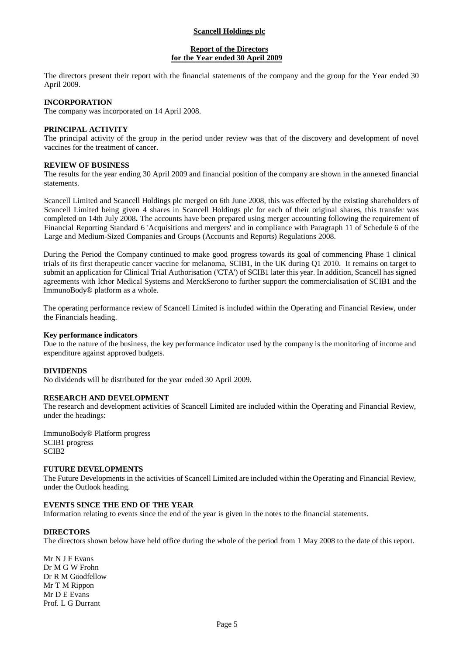## **Report of the Directors for the Year ended 30 April 2009**

The directors present their report with the financial statements of the company and the group for the Year ended 30 April 2009.

## **INCORPORATION**

The company was incorporated on 14 April 2008.

## **PRINCIPAL ACTIVITY**

The principal activity of the group in the period under review was that of the discovery and development of novel vaccines for the treatment of cancer.

#### **REVIEW OF BUSINESS**

The results for the year ending 30 April 2009 and financial position of the company are shown in the annexed financial statements.

Scancell Limited and Scancell Holdings plc merged on 6th June 2008, this was effected by the existing shareholders of Scancell Limited being given 4 shares in Scancell Holdings plc for each of their original shares, this transfer was completed on 14th July 2008**.** The accounts have been prepared using merger accounting following the requirement of Financial Reporting Standard 6 'Acquisitions and mergers' and in compliance with Paragraph 11 of Schedule 6 of the Large and Medium-Sized Companies and Groups (Accounts and Reports) Regulations 2008.

During the Period the Company continued to make good progress towards its goal of commencing Phase 1 clinical trials of its first therapeutic cancer vaccine for melanoma, SCIB1, in the UK during Q1 2010. It remains on target to submit an application for Clinical Trial Authorisation ('CTA') of SCIB1 later this year. In addition, Scancell has signed agreements with Ichor Medical Systems and MerckSerono to further support the commercialisation of SCIB1 and the ImmunoBody® platform as a whole.

The operating performance review of Scancell Limited is included within the Operating and Financial Review, under the Financials heading.

#### **Key performance indicators**

Due to the nature of the business, the key performance indicator used by the company is the monitoring of income and expenditure against approved budgets.

### **DIVIDENDS**

No dividends will be distributed for the year ended 30 April 2009.

### **RESEARCH AND DEVELOPMENT**

The research and development activities of Scancell Limited are included within the Operating and Financial Review, under the headings:

ImmunoBody® Platform progress SCIB1 progress SCIB2

#### **FUTURE DEVELOPMENTS**

The Future Developments in the activities of Scancell Limited are included within the Operating and Financial Review, under the Outlook heading.

### **EVENTS SINCE THE END OF THE YEAR**

Information relating to events since the end of the year is given in the notes to the financial statements.

#### **DIRECTORS**

The directors shown below have held office during the whole of the period from 1 May 2008 to the date of this report.

Mr N J F Evans Dr M G W Frohn Dr R M Goodfellow Mr T M Rippon Mr D E Evans Prof. L G Durrant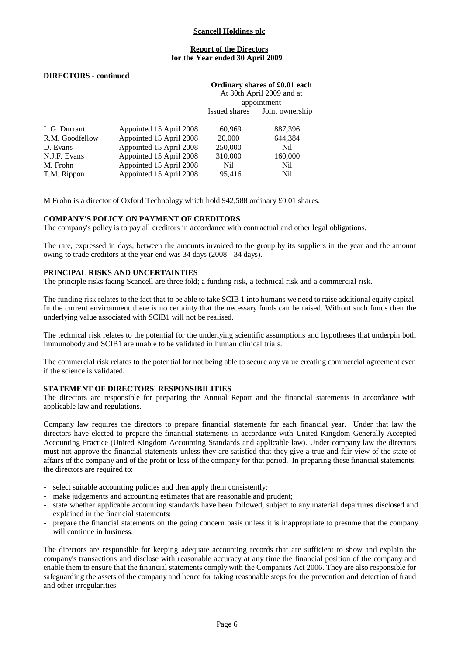## **Report of the Directors for the Year ended 30 April 2009**

### **DIRECTORS - continued**

|                 |                         | Ordinary shares of £0.01 each<br>At 30th April 2009 and at |                 |
|-----------------|-------------------------|------------------------------------------------------------|-----------------|
|                 |                         | appointment                                                |                 |
|                 |                         | Issued shares                                              | Joint ownership |
| L.G. Durrant    | Appointed 15 April 2008 | 160,969                                                    | 887,396         |
| R.M. Goodfellow | Appointed 15 April 2008 | 20,000                                                     | 644,384         |
| D. Evans        | Appointed 15 April 2008 | 250,000                                                    | Nil             |
| N.J.F. Evans    | Appointed 15 April 2008 | 310,000                                                    | 160,000         |
| M. Frohn        | Appointed 15 April 2008 | Nil                                                        | Nil             |
| T.M. Rippon     | Appointed 15 April 2008 | 195,416                                                    | Nil             |

M Frohn is a director of Oxford Technology which hold 942,588 ordinary £0.01 shares.

### **COMPANY'S POLICY ON PAYMENT OF CREDITORS**

The company's policy is to pay all creditors in accordance with contractual and other legal obligations.

The rate, expressed in days, between the amounts invoiced to the group by its suppliers in the year and the amount owing to trade creditors at the year end was 34 days (2008 - 34 days).

#### **PRINCIPAL RISKS AND UNCERTAINTIES**

The principle risks facing Scancell are three fold; a funding risk, a technical risk and a commercial risk.

The funding risk relates to the fact that to be able to take SCIB 1 into humans we need to raise additional equity capital. In the current environment there is no certainty that the necessary funds can be raised. Without such funds then the underlying value associated with SCIB1 will not be realised.

The technical risk relates to the potential for the underlying scientific assumptions and hypotheses that underpin both Immunobody and SCIB1 are unable to be validated in human clinical trials.

The commercial risk relates to the potential for not being able to secure any value creating commercial agreement even if the science is validated.

#### **STATEMENT OF DIRECTORS' RESPONSIBILITIES**

The directors are responsible for preparing the Annual Report and the financial statements in accordance with applicable law and regulations.

Company law requires the directors to prepare financial statements for each financial year. Under that law the directors have elected to prepare the financial statements in accordance with United Kingdom Generally Accepted Accounting Practice (United Kingdom Accounting Standards and applicable law). Under company law the directors must not approve the financial statements unless they are satisfied that they give a true and fair view of the state of affairs of the company and of the profit or loss of the company for that period. In preparing these financial statements, the directors are required to:

- select suitable accounting policies and then apply them consistently;
- make judgements and accounting estimates that are reasonable and prudent;
- state whether applicable accounting standards have been followed, subject to any material departures disclosed and explained in the financial statements;
- prepare the financial statements on the going concern basis unless it is inappropriate to presume that the company will continue in business.

The directors are responsible for keeping adequate accounting records that are sufficient to show and explain the company's transactions and disclose with reasonable accuracy at any time the financial position of the company and enable them to ensure that the financial statements comply with the Companies Act 2006. They are also responsible for safeguarding the assets of the company and hence for taking reasonable steps for the prevention and detection of fraud and other irregularities.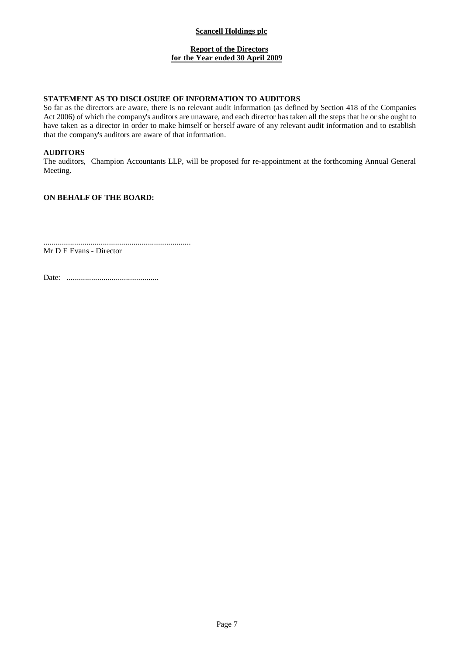## **Report of the Directors for the Year ended 30 April 2009**

# **STATEMENT AS TO DISCLOSURE OF INFORMATION TO AUDITORS**

So far as the directors are aware, there is no relevant audit information (as defined by Section 418 of the Companies Act 2006) of which the company's auditors are unaware, and each director has taken all the steps that he or she ought to have taken as a director in order to make himself or herself aware of any relevant audit information and to establish that the company's auditors are aware of that information.

## **AUDITORS**

The auditors, Champion Accountants LLP, will be proposed for re-appointment at the forthcoming Annual General Meeting.

## **ON BEHALF OF THE BOARD:**

........................................................................

Mr D E Evans - Director

Date: .............................................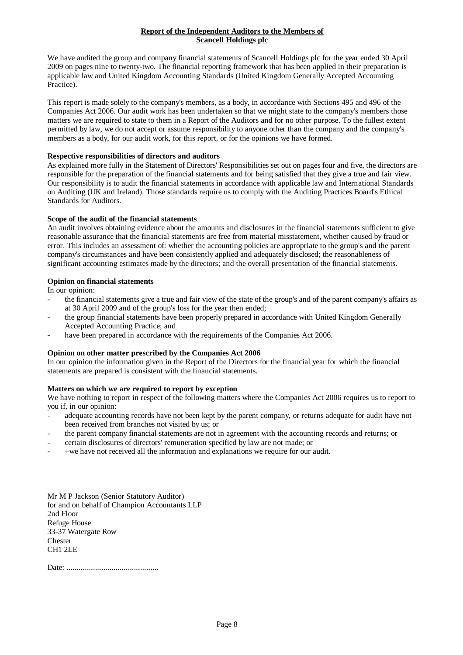## **Report of the Independent Auditors to the Members of Scancell Holdings plc**

We have audited the group and company financial statements of Scancell Holdings plc for the year ended 30 April 2009 on pages nine to twenty-two. The financial reporting framework that has been applied in their preparation is applicable law and United Kingdom Accounting Standards (United Kingdom Generally Accepted Accounting Practice).

This report is made solely to the company's members, as a body, in accordance with Sections 495 and 496 of the Companies Act 2006. Our audit work has been undertaken so that we might state to the company's members those matters we are required to state to them in a Report of the Auditors and for no other purpose. To the fullest extent permitted by law, we do not accept or assume responsibility to anyone other than the company and the company's members as a body, for our audit work, for this report, or for the opinions we have formed.

## **Respective responsibilities of directors and auditors**

As explained more fully in the Statement of Directors' Responsibilities set out on pages four and five, the directors are responsible for the preparation of the financial statements and for being satisfied that they give a true and fair view. Our responsibility is to audit the financial statements in accordance with applicable law and International Standards on Auditing (UK and Ireland). Those standards require us to comply with the Auditing Practices Board's Ethical Standards for Auditors.

## **Scope of the audit of the financial statements**

An audit involves obtaining evidence about the amounts and disclosures in the financial statements sufficient to give reasonable assurance that the financial statements are free from material misstatement, whether caused by fraud or error. This includes an assessment of: whether the accounting policies are appropriate to the group's and the parent company's circumstances and have been consistently applied and adequately disclosed; the reasonableness of significant accounting estimates made by the directors; and the overall presentation of the financial statements.

## **Opinion on financial statements**

In our opinion:

- the financial statements give a true and fair view of the state of the group's and of the parent company's affairs as at 30 April 2009 and of the group's loss for the year then ended;
- the group financial statements have been properly prepared in accordance with United Kingdom Generally Accepted Accounting Practice; and
- have been prepared in accordance with the requirements of the Companies Act 2006.

### **Opinion on other matter prescribed by the Companies Act 2006**

In our opinion the information given in the Report of the Directors for the financial year for which the financial statements are prepared is consistent with the financial statements.

## **Matters on which we are required to report by exception**

We have nothing to report in respect of the following matters where the Companies Act 2006 requires us to report to you if, in our opinion:

- adequate accounting records have not been kept by the parent company, or returns adequate for audit have not been received from branches not visited by us; or
- the parent company financial statements are not in agreement with the accounting records and returns; or
- certain disclosures of directors' remuneration specified by law are not made; or
- +we have not received all the information and explanations we require for our audit.

Mr M P Jackson (Senior Statutory Auditor) for and on behalf of Champion Accountants LLP 2nd Floor Refuge House 33-37 Watergate Row Chester CH1 2LE

Date: .............................................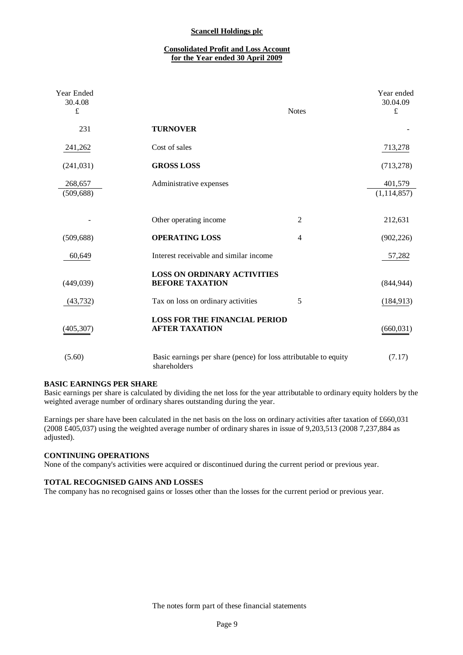## **Consolidated Profit and Loss Account for the Year ended 30 April 2009**

| Year Ended<br>30.4.08<br>$\mathbf f$ | <b>Notes</b>                                                                     | Year ended<br>30.04.09<br>$\pounds$ |
|--------------------------------------|----------------------------------------------------------------------------------|-------------------------------------|
| 231                                  | <b>TURNOVER</b>                                                                  |                                     |
| 241,262                              | Cost of sales                                                                    | 713,278                             |
| (241, 031)                           | <b>GROSS LOSS</b>                                                                | (713, 278)                          |
| 268,657<br>(509, 688)                | Administrative expenses                                                          | 401,579<br>(1, 114, 857)            |
|                                      | $\overline{2}$<br>Other operating income                                         | 212,631                             |
| (509, 688)                           | <b>OPERATING LOSS</b><br>$\overline{4}$                                          | (902, 226)                          |
| 60,649                               | Interest receivable and similar income                                           | 57,282                              |
| (449, 039)                           | <b>LOSS ON ORDINARY ACTIVITIES</b><br><b>BEFORE TAXATION</b>                     | (844, 944)                          |
| (43, 732)                            | Tax on loss on ordinary activities<br>5                                          | (184, 913)                          |
| (405, 307)                           | <b>LOSS FOR THE FINANCIAL PERIOD</b><br><b>AFTER TAXATION</b>                    | (660, 031)                          |
| (5.60)                               | Basic earnings per share (pence) for loss attributable to equity<br>shareholders | (7.17)                              |

### **BASIC EARNINGS PER SHARE**

Basic earnings per share is calculated by dividing the net loss for the year attributable to ordinary equity holders by the weighted average number of ordinary shares outstanding during the year.

Earnings per share have been calculated in the net basis on the loss on ordinary activities after taxation of £660,031 (2008 £405,037) using the weighted average number of ordinary shares in issue of 9,203,513 (2008 7,237,884 as adjusted).

### **CONTINUING OPERATIONS**

None of the company's activities were acquired or discontinued during the current period or previous year.

#### **TOTAL RECOGNISED GAINS AND LOSSES**

The company has no recognised gains or losses other than the losses for the current period or previous year.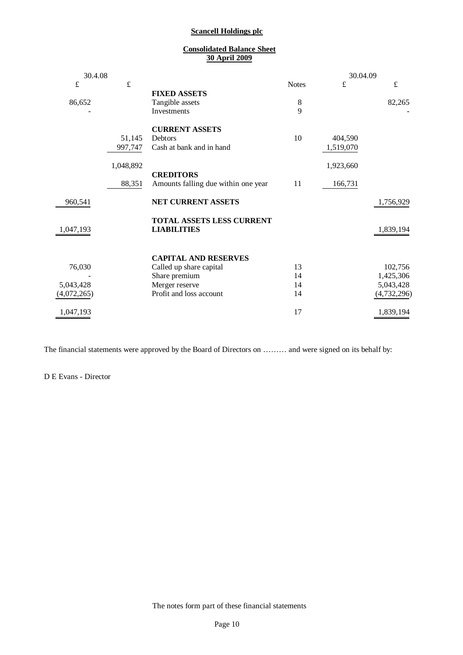## **Consolidated Balance Sheet 30 April 2009**

| 30.4.08     |           |                                                 |                     | 30.04.09  |             |
|-------------|-----------|-------------------------------------------------|---------------------|-----------|-------------|
| $\pounds$   | $\pounds$ |                                                 | <b>Notes</b>        | £         | $\pounds$   |
|             |           | <b>FIXED ASSETS</b>                             |                     |           |             |
| 86,652      |           | Tangible assets<br>Investments                  | $8\phantom{1}$<br>9 |           | 82,265      |
|             |           |                                                 |                     |           |             |
|             |           | <b>CURRENT ASSETS</b>                           |                     |           |             |
|             | 51,145    | Debtors                                         | 10                  | 404,590   |             |
|             | 997,747   | Cash at bank and in hand                        |                     | 1,519,070 |             |
|             |           |                                                 |                     |           |             |
|             | 1,048,892 | <b>CREDITORS</b>                                |                     | 1,923,660 |             |
|             | 88,351    | Amounts falling due within one year             | 11                  | 166,731   |             |
| 960,541     |           | NET CURRENT ASSETS                              |                     |           | 1,756,929   |
| 1,047,193   |           | TOTAL ASSETS LESS CURRENT<br><b>LIABILITIES</b> |                     |           | 1,839,194   |
|             |           | <b>CAPITAL AND RESERVES</b>                     |                     |           |             |
| 76,030      |           | Called up share capital                         | 13                  |           | 102,756     |
|             |           | Share premium                                   | 14                  |           | 1,425,306   |
| 5,043,428   |           | Merger reserve                                  | 14                  |           | 5,043,428   |
| (4,072,265) |           | Profit and loss account                         | 14                  |           | (4,732,296) |
| 1,047,193   |           |                                                 | 17                  |           | 1,839,194   |

The financial statements were approved by the Board of Directors on ……… and were signed on its behalf by:

D E Evans - Director

L.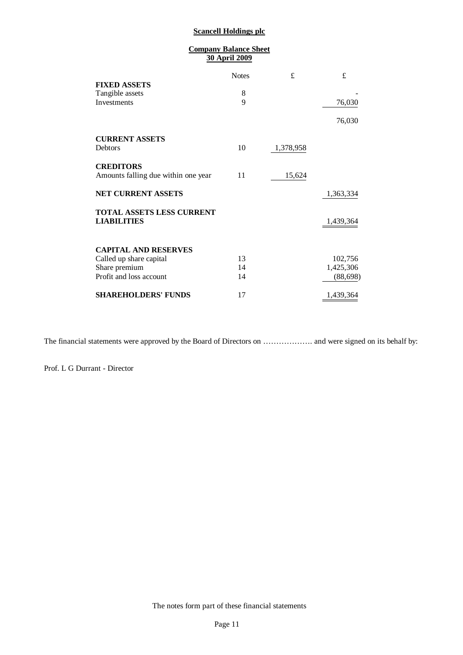| <b>Company Balance Sheet</b><br><b>30 April 2009</b> |              |           |           |  |
|------------------------------------------------------|--------------|-----------|-----------|--|
|                                                      | <b>Notes</b> | £         | £         |  |
| <b>FIXED ASSETS</b>                                  |              |           |           |  |
| Tangible assets                                      | 8            |           |           |  |
| Investments                                          | $\mathbf Q$  |           | 76,030    |  |
|                                                      |              |           | 76,030    |  |
| <b>CURRENT ASSETS</b>                                |              |           |           |  |
| <b>Debtors</b>                                       | 10           | 1,378,958 |           |  |
| <b>CREDITORS</b>                                     |              |           |           |  |
| Amounts falling due within one year                  | 11           | 15,624    |           |  |
| <b>NET CURRENT ASSETS</b>                            |              |           | 1,363,334 |  |
| <b>TOTAL ASSETS LESS CURRENT</b>                     |              |           |           |  |
| <b>LIABILITIES</b>                                   |              |           | 1,439,364 |  |
| <b>CAPITAL AND RESERVES</b>                          |              |           |           |  |
| Called up share capital                              | 13           |           | 102,756   |  |
| Share premium                                        | 14           |           | 1,425,306 |  |
| Profit and loss account                              | 14           |           | (88, 698) |  |
| <b>SHAREHOLDERS' FUNDS</b>                           | 17           |           | 1,439,364 |  |

The financial statements were approved by the Board of Directors on ………………. and were signed on its behalf by:

Prof. L G Durrant - Director

The notes form part of these financial statements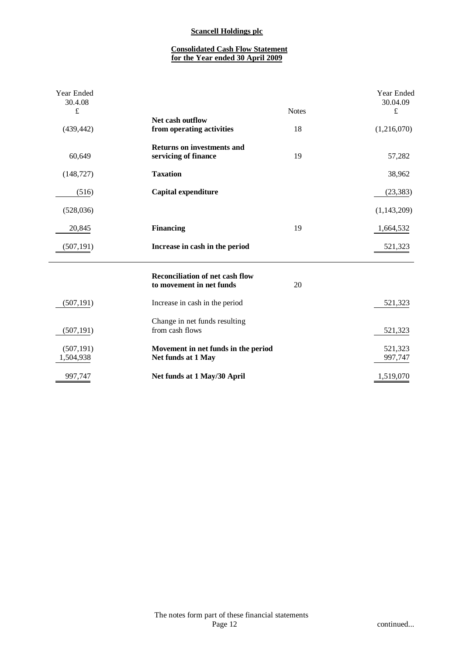# **Consolidated Cash Flow Statement for the Year ended 30 April 2009**

| Year Ended<br>30.4.08<br>$\pounds$ |                                                                    | <b>Notes</b> | Year Ended<br>30.04.09<br>$\pounds$ |
|------------------------------------|--------------------------------------------------------------------|--------------|-------------------------------------|
| (439, 442)                         | Net cash outflow<br>from operating activities                      | 18           | (1,216,070)                         |
| 60,649                             | <b>Returns on investments and</b><br>servicing of finance          | 19           | 57,282                              |
| (148, 727)                         | <b>Taxation</b>                                                    |              | 38,962                              |
| (516)                              | Capital expenditure                                                |              | (23, 383)                           |
| (528, 036)                         |                                                                    |              | (1,143,209)                         |
| 20,845                             | <b>Financing</b>                                                   | 19           | 1,664,532                           |
| (507, 191)                         | Increase in cash in the period                                     |              | 521,323                             |
|                                    | <b>Reconciliation of net cash flow</b><br>to movement in net funds | 20           |                                     |
| (507, 191)                         | Increase in cash in the period                                     |              | 521,323                             |
| (507, 191)                         | Change in net funds resulting<br>from cash flows                   |              | 521,323                             |
| (507, 191)<br>1,504,938            | Movement in net funds in the period<br>Net funds at 1 May          |              | 521,323<br>997,747                  |
| 997,747                            | Net funds at 1 May/30 April                                        |              | 1,519,070                           |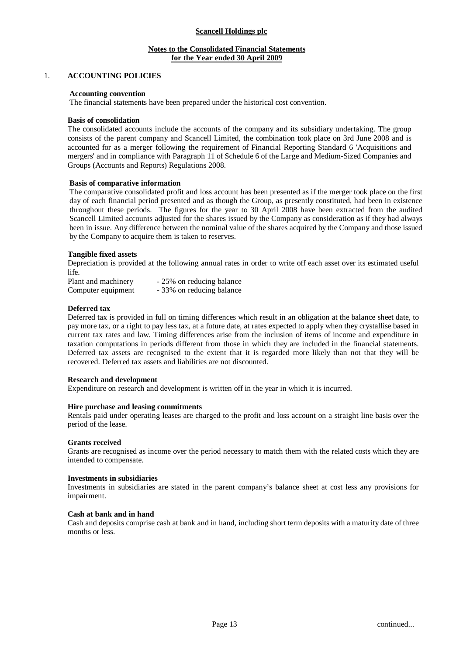## **Notes to the Consolidated Financial Statements for the Year ended 30 April 2009**

### 1. **ACCOUNTING POLICIES**

### **Accounting convention**

The financial statements have been prepared under the historical cost convention.

#### **Basis of consolidation**

The consolidated accounts include the accounts of the company and its subsidiary undertaking. The group consists of the parent company and Scancell Limited, the combination took place on 3rd June 2008 and is accounted for as a merger following the requirement of Financial Reporting Standard 6 'Acquisitions and mergers' and in compliance with Paragraph 11 of Schedule 6 of the Large and Medium-Sized Companies and Groups (Accounts and Reports) Regulations 2008.

#### **Basis of comparative information**

The comparative consolidated profit and loss account has been presented as if the merger took place on the first day of each financial period presented and as though the Group, as presently constituted, had been in existence throughout these periods. The figures for the year to 30 April 2008 have been extracted from the audited Scancell Limited accounts adjusted for the shares issued by the Company as consideration as if they had always been in issue. Any difference between the nominal value of the shares acquired by the Company and those issued by the Company to acquire them is taken to reserves.

#### **Tangible fixed assets**

Depreciation is provided at the following annual rates in order to write off each asset over its estimated useful life.

| Plant and machinery | - 25% on reducing balance |
|---------------------|---------------------------|
| Computer equipment  | - 33% on reducing balance |

#### **Deferred tax**

Deferred tax is provided in full on timing differences which result in an obligation at the balance sheet date, to pay more tax, or a right to pay less tax, at a future date, at rates expected to apply when they crystallise based in current tax rates and law. Timing differences arise from the inclusion of items of income and expenditure in taxation computations in periods different from those in which they are included in the financial statements. Deferred tax assets are recognised to the extent that it is regarded more likely than not that they will be recovered. Deferred tax assets and liabilities are not discounted.

#### **Research and development**

Expenditure on research and development is written off in the year in which it is incurred.

#### **Hire purchase and leasing commitments**

Rentals paid under operating leases are charged to the profit and loss account on a straight line basis over the period of the lease.

#### **Grants received**

Grants are recognised as income over the period necessary to match them with the related costs which they are intended to compensate.

#### **Investments in subsidiaries**

Investments in subsidiaries are stated in the parent company's balance sheet at cost less any provisions for impairment.

#### **Cash at bank and in hand**

Cash and deposits comprise cash at bank and in hand, including short term deposits with a maturity date of three months or less.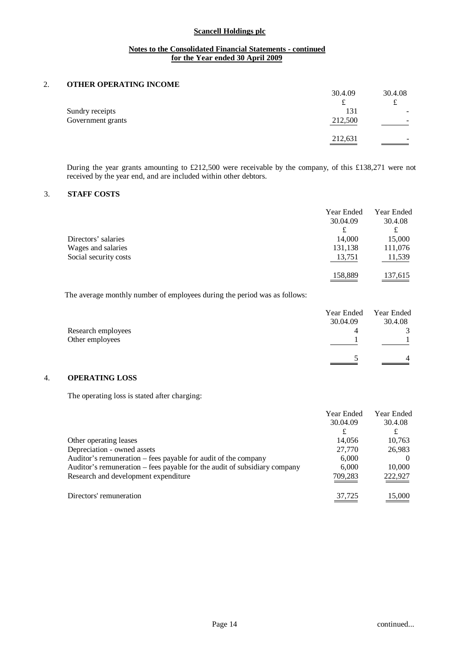## **Notes to the Consolidated Financial Statements - continued for the Year ended 30 April 2009**

## 2. **OTHER OPERATING INCOME**

|                   | 30.4.09 | 30.4.08 |
|-------------------|---------|---------|
|                   | ىم      | ົ       |
| Sundry receipts   | 131     | -       |
| Government grants | 212,500 | -       |
|                   |         |         |
|                   | 212,631 | ۰       |
|                   |         |         |

During the year grants amounting to £212,500 were receivable by the company, of this £138,271 were not received by the year end, and are included within other debtors.

## 3. **STAFF COSTS**

|                       | Year Ended<br>30.04.09 | Year Ended<br>30.4.08 |
|-----------------------|------------------------|-----------------------|
|                       | £                      | £                     |
| Directors' salaries   | 14,000                 | 15,000                |
| Wages and salaries    | 131,138                | 111,076               |
| Social security costs | 13,751                 | 11,539                |
|                       | 158,889                | 137,615               |

The average monthly number of employees during the period was as follows:

|                    | Year Ended | Year Ended |
|--------------------|------------|------------|
|                    | 30.04.09   | 30.4.08    |
| Research employees | 4          |            |
| Other employees    |            |            |
|                    |            |            |

## 4. **OPERATING LOSS**

The operating loss is stated after charging:

|                                                                           | Year Ended<br>30.04.09 | Year Ended<br>30.4.08 |
|---------------------------------------------------------------------------|------------------------|-----------------------|
|                                                                           | £                      | £                     |
| Other operating leases                                                    | 14,056                 | 10,763                |
| Depreciation - owned assets                                               | 27,770                 | 26,983                |
| Auditor's remuneration – fees payable for audit of the company            | 6,000                  |                       |
| Auditor's remuneration – fees payable for the audit of subsidiary company | 6,000                  | 10,000                |
| Research and development expenditure                                      | 709,283                | 222,927               |
| Directors' remuneration                                                   | 37,725                 | 15,000                |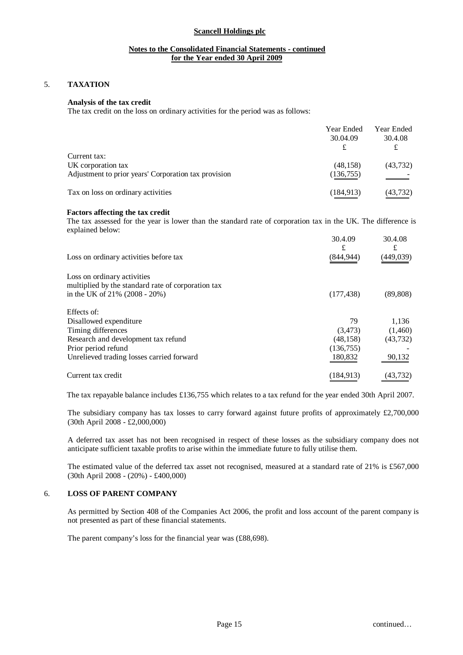## **Notes to the Consolidated Financial Statements - continued for the Year ended 30 April 2009**

## 5. **TAXATION**

## **Analysis of the tax credit**

The tax credit on the loss on ordinary activities for the period was as follows:

|                                                      | Year Ended | Year Ended |
|------------------------------------------------------|------------|------------|
|                                                      | 30.04.09   | 30.4.08    |
|                                                      |            |            |
| Current tax:                                         |            |            |
| UK corporation tax                                   | (48, 158)  | (43, 732)  |
| Adjustment to prior years' Corporation tax provision | (136, 755) |            |
| Tax on loss on ordinary activities                   | (184, 913) | (43,732)   |

#### **Factors affecting the tax credit**

The tax assessed for the year is lower than the standard rate of corporation tax in the UK. The difference is explained below:

| Loss on ordinary activities before tax                                                 | 30.4.09<br>£<br>(844,944) | 30.4.08<br>£<br>(449,039) |
|----------------------------------------------------------------------------------------|---------------------------|---------------------------|
| Loss on ordinary activities                                                            |                           |                           |
| multiplied by the standard rate of corporation tax<br>in the UK of $21\%$ (2008 - 20%) | (177, 438)                | (89, 808)                 |
| Effects of:                                                                            |                           |                           |
| Disallowed expenditure                                                                 | 79                        | 1,136                     |
| Timing differences                                                                     | (3, 473)                  | (1,460)                   |
| Research and development tax refund                                                    | (48, 158)                 | (43, 732)                 |
| Prior period refund                                                                    | (136, 755)                |                           |
| Unrelieved trading losses carried forward                                              | 180,832                   | 90,132                    |
| Current tax credit                                                                     | (184,913)                 | (43,732)                  |

The tax repayable balance includes £136,755 which relates to a tax refund for the year ended 30th April 2007.

The subsidiary company has tax losses to carry forward against future profits of approximately  $\text{\pounds}2,700,000$ (30th April 2008 - £2,000,000)

A deferred tax asset has not been recognised in respect of these losses as the subsidiary company does not anticipate sufficient taxable profits to arise within the immediate future to fully utilise them.

The estimated value of the deferred tax asset not recognised, measured at a standard rate of 21% is £567,000 (30th April 2008 - (20%) - £400,000)

### 6. **LOSS OF PARENT COMPANY**

As permitted by Section 408 of the Companies Act 2006, the profit and loss account of the parent company is not presented as part of these financial statements.

The parent company's loss for the financial year was (£88,698).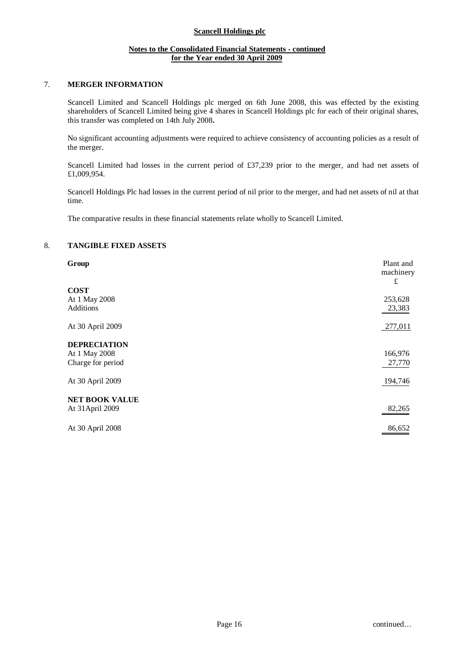## **Notes to the Consolidated Financial Statements - continued for the Year ended 30 April 2009**

## 7. **MERGER INFORMATION**

Scancell Limited and Scancell Holdings plc merged on 6th June 2008, this was effected by the existing shareholders of Scancell Limited being give 4 shares in Scancell Holdings plc for each of their original shares, this transfer was completed on 14th July 2008**.**

No significant accounting adjustments were required to achieve consistency of accounting policies as a result of the merger.

Scancell Limited had losses in the current period of £37,239 prior to the merger, and had net assets of £1,009,954.

Scancell Holdings Plc had losses in the current period of nil prior to the merger, and had net assets of nil at that time.

The comparative results in these financial statements relate wholly to Scancell Limited.

## 8. **TANGIBLE FIXED ASSETS**

| Group                 | Plant and<br>machinery<br>£ |
|-----------------------|-----------------------------|
| <b>COST</b>           |                             |
| At 1 May 2008         | 253,628                     |
| <b>Additions</b>      | 23,383                      |
| At 30 April 2009      | 277,011                     |
| <b>DEPRECIATION</b>   |                             |
| At 1 May 2008         | 166,976                     |
| Charge for period     | 27,770                      |
| At 30 April 2009      | 194,746                     |
| <b>NET BOOK VALUE</b> |                             |
| At 31 April 2009      | 82,265                      |
| At 30 April 2008      | 86,652                      |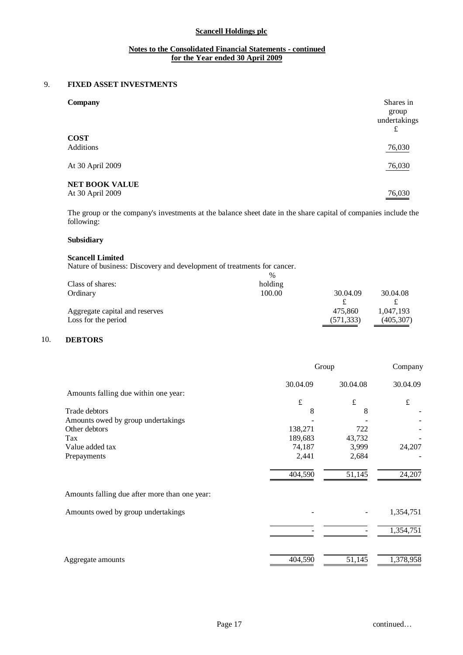## **Notes to the Consolidated Financial Statements - continued for the Year ended 30 April 2009**

## 9. **FIXED ASSET INVESTMENTS**

| Company                                   | Shares in<br>group<br>undertakings<br>£ |
|-------------------------------------------|-----------------------------------------|
| <b>COST</b><br><b>Additions</b>           | 76,030                                  |
| At 30 April 2009                          | 76,030                                  |
| <b>NET BOOK VALUE</b><br>At 30 April 2009 | 76,030                                  |

The group or the company's investments at the balance sheet date in the share capital of companies include the following:

# **Subsidiary**

### **Scancell Limited**

Nature of business: Discovery and development of treatments for cancer.

|                                | $\%$    |            |            |
|--------------------------------|---------|------------|------------|
| Class of shares:               | holding |            |            |
| Ordinary                       | 100.00  | 30.04.09   | 30.04.08   |
|                                |         |            |            |
| Aggregate capital and reserves |         | 475.860    | 1,047,193  |
| Loss for the period            |         | (571, 333) | (405, 307) |
|                                |         |            |            |

## 10. **DEBTORS**

|                                               | Group     |           | Company   |  |
|-----------------------------------------------|-----------|-----------|-----------|--|
|                                               | 30.04.09  | 30.04.08  | 30.04.09  |  |
| Amounts falling due within one year:          |           |           |           |  |
|                                               | $\pounds$ | $\pounds$ | $\pounds$ |  |
| Trade debtors                                 | 8         | 8         |           |  |
| Amounts owed by group undertakings            |           |           |           |  |
| Other debtors                                 | 138,271   | 722       |           |  |
| Tax                                           | 189,683   | 43,732    |           |  |
| Value added tax                               | 74,187    | 3,999     | 24,207    |  |
| Prepayments                                   | 2,441     | 2,684     |           |  |
|                                               | 404,590   | 51,145    | 24,207    |  |
| Amounts falling due after more than one year: |           |           |           |  |
| Amounts owed by group undertakings            |           |           | 1,354,751 |  |
|                                               |           |           | 1,354,751 |  |
|                                               |           |           |           |  |
| Aggregate amounts                             | 404,590   | 51,145    | 1,378,958 |  |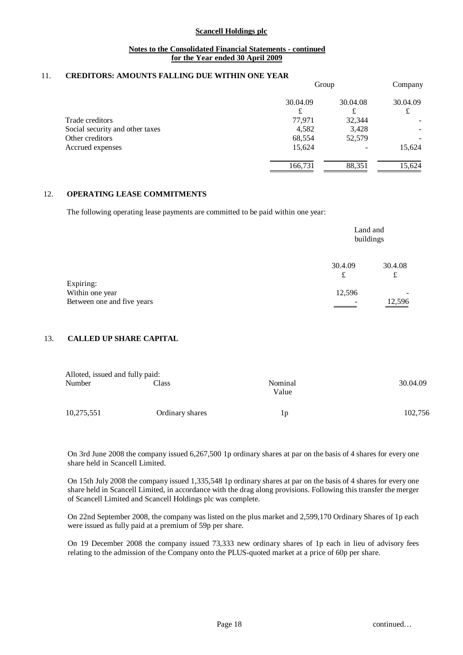### **Notes to the Consolidated Financial Statements - continued for the Year ended 30 April 2009**

## 11. **CREDITORS: AMOUNTS FALLING DUE WITHIN ONE YEAR**

|                                 | Group    |          | Company  |  |
|---------------------------------|----------|----------|----------|--|
|                                 | 30.04.09 | 30.04.08 | 30.04.09 |  |
|                                 | £        | £        | £        |  |
| Trade creditors                 | 77,971   | 32,344   |          |  |
| Social security and other taxes | 4,582    | 3,428    |          |  |
| Other creditors                 | 68,554   | 52,579   |          |  |
| Accrued expenses                | 15,624   |          | 15,624   |  |
|                                 | 166,731  | 88,351   | 15,624   |  |

### 12. **OPERATING LEASE COMMITMENTS**

The following operating lease payments are committed to be paid within one year:

|                            |              | Land and<br>buildings |  |
|----------------------------|--------------|-----------------------|--|
|                            | 30.4.09<br>£ | 30.4.08<br>£          |  |
| Expiring:                  |              |                       |  |
| Within one year            | 12,596       | -                     |  |
| Between one and five years |              | 12,596                |  |

### 13. **CALLED UP SHARE CAPITAL**

| Alloted, issued and fully paid: |                 |                  |          |
|---------------------------------|-----------------|------------------|----------|
| Number                          | Class           | Nominal<br>Value | 30.04.09 |
| 10,275,551                      | Ordinary shares | 1p               | 102,756  |

On 3rd June 2008 the company issued 6,267,500 1p ordinary shares at par on the basis of 4 shares for every one share held in Scancell Limited.

On 15th July 2008 the company issued 1,335,548 1p ordinary shares at par on the basis of 4 shares for every one share held in Scancell Limited, in accordance with the drag along provisions. Following this transfer the merger of Scancell Limited and Scancell Holdings plc was complete.

On 22nd September 2008, the company was listed on the plus market and 2,599,170 Ordinary Shares of 1p each were issued as fully paid at a premium of 59p per share.

On 19 December 2008 the company issued 73,333 new ordinary shares of 1p each in lieu of advisory fees relating to the admission of the Company onto the PLUS-quoted market at a price of 60p per share.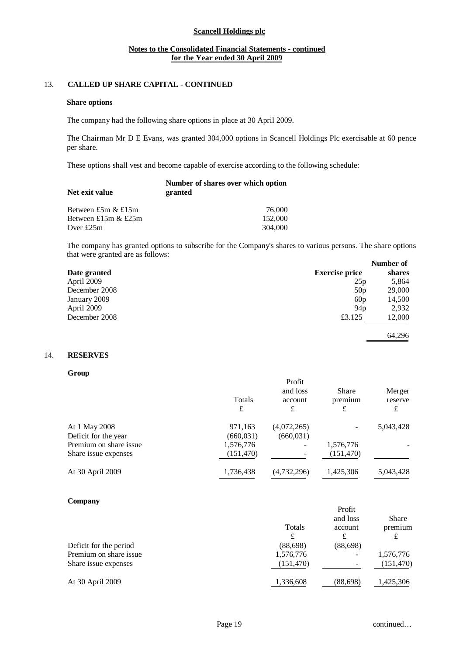## **Notes to the Consolidated Financial Statements - continued for the Year ended 30 April 2009**

## 13. **CALLED UP SHARE CAPITAL - CONTINUED**

#### **Share options**

The company had the following share options in place at 30 April 2009.

The Chairman Mr D E Evans, was granted 304,000 options in Scancell Holdings Plc exercisable at 60 pence per share.

These options shall vest and become capable of exercise according to the following schedule:

| Net exit value        | Number of shares over which option<br>granted |
|-----------------------|-----------------------------------------------|
| Between £5m $&$ £15m  | 76,000                                        |
| Between £15m $&$ £25m | 152,000                                       |
| Over $£25m$           | 304,000                                       |

The company has granted options to subscribe for the Company's shares to various persons. The share options that were granted are as follows: **Number of** 

|               |                       | Number of |
|---------------|-----------------------|-----------|
| Date granted  | <b>Exercise price</b> | shares    |
| April 2009    | 25p                   | 5,864     |
| December 2008 | 50p                   | 29,000    |
| January 2009  | 60p                   | 14,500    |
| April 2009    | 94p                   | 2,932     |
| December 2008 | £3.125                | 12,000    |
|               |                       | 64.296    |

### 14. **RESERVES**

**Group**

|                        | Totals<br>£ | Profit<br>and loss<br>account<br>£ | Share<br>premium<br>£ | Merger<br>reserve<br>£ |
|------------------------|-------------|------------------------------------|-----------------------|------------------------|
| At 1 May 2008          | 971,163     | (4,072,265)                        |                       | 5,043,428              |
| Deficit for the year   | (660, 031)  | (660, 031)                         |                       |                        |
| Premium on share issue | 1,576,776   |                                    | 1,576,776             |                        |
| Share issue expenses   | (151, 470)  |                                    | (151, 470)            |                        |
| At 30 April 2009       | 1,736,438   | (4,732,296)                        | 1,425,306             | 5,043,428              |

#### **Company**

|                        | Totals<br>£ | Profit<br>and loss<br>account<br>£ | <b>Share</b><br>premium |
|------------------------|-------------|------------------------------------|-------------------------|
| Deficit for the period | (88, 698)   | (88, 698)                          |                         |
| Premium on share issue | 1,576,776   | ۰                                  | 1,576,776               |
| Share issue expenses   | (151, 470)  |                                    | (151, 470)              |
| At 30 April 2009       | 1,336,608   | (88, 698)                          | 1,425,306               |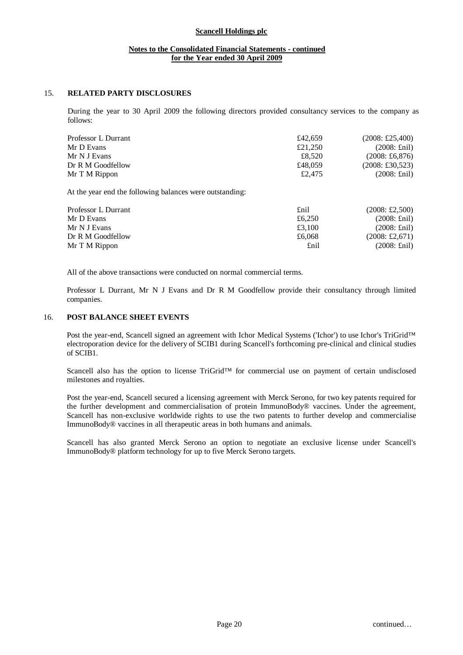## **Notes to the Consolidated Financial Statements - continued for the Year ended 30 April 2009**

## 15. **RELATED PARTY DISCLOSURES**

During the year to 30 April 2009 the following directors provided consultancy services to the company as follows:

| Professor L Durrant | £42.659 | $(2008: \pounds25,400)$        |
|---------------------|---------|--------------------------------|
| Mr D Evans          | £21,250 | $(2008: \text{Enil})$          |
| Mr N J Evans        | £8.520  | $(2008: \text{\pounds}6, 876)$ |
| Dr R M Goodfellow   | £48,059 | $(2008: \pounds30, 523)$       |
| Mr T M Rippon       | £2.475  | $(2008: \text{Enil})$          |

At the year end the following balances were outstanding:

| Professor L Durrant | £nil   | $(2008: \pounds2,500)$  |
|---------------------|--------|-------------------------|
| Mr D Evans          | £6.250 | $(2008: \text{Enil})$   |
| Mr N J Evans        | £3.100 | $(2008: \text{Enil})$   |
| Dr R M Goodfellow   | £6,068 | $(2008: \pounds2, 671)$ |
| Mr T M Rippon       | £nil   | $(2008: \text{Enil})$   |

All of the above transactions were conducted on normal commercial terms.

Professor L Durrant, Mr N J Evans and Dr R M Goodfellow provide their consultancy through limited companies.

### 16. **POST BALANCE SHEET EVENTS**

Post the year-end, Scancell signed an agreement with Ichor Medical Systems ('Ichor') to use Ichor's TriGrid™ electroporation device for the delivery of SCIB1 during Scancell's forthcoming pre-clinical and clinical studies of SCIB1.

Scancell also has the option to license TriGrid<sup>™</sup> for commercial use on payment of certain undisclosed milestones and royalties.

Post the year-end, Scancell secured a licensing agreement with Merck Serono, for two key patents required for the further development and commercialisation of protein ImmunoBody® vaccines. Under the agreement, Scancell has non-exclusive worldwide rights to use the two patents to further develop and commercialise ImmunoBody® vaccines in all therapeutic areas in both humans and animals.

Scancell has also granted Merck Serono an option to negotiate an exclusive license under Scancell's ImmunoBody® platform technology for up to five Merck Serono targets.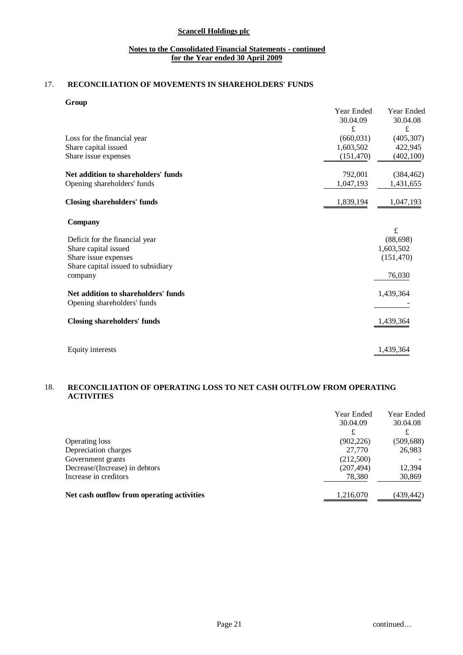## **Notes to the Consolidated Financial Statements - continued for the Year ended 30 April 2009**

# 17. **RECONCILIATION OF MOVEMENTS IN SHAREHOLDERS' FUNDS**

### **Group**

| 30.04.08                 |
|--------------------------|
| £                        |
| (405, 307)               |
| 422,945                  |
| (402, 100)               |
| (384, 462)               |
| 1,431,655                |
| 1,047,193                |
|                          |
| $\mathbf f$<br>(88, 698) |
| 1,603,502                |
| (151, 470)               |
|                          |
| 76,030                   |
| 1,439,364                |
|                          |
| 1,439,364                |
| 1,439,364                |
|                          |

## 18. **RECONCILIATION OF OPERATING LOSS TO NET CASH OUTFLOW FROM OPERATING ACTIVITIES**

|                                            | Year Ended<br>30.04.09<br>£ | Year Ended<br>30.04.08 |
|--------------------------------------------|-----------------------------|------------------------|
| Operating loss                             | (902, 226)                  | (509, 688)             |
| Depreciation charges                       | 27,770                      | 26,983                 |
| Government grants                          | (212,500)                   |                        |
| Decrease/(Increase) in debtors             | (207, 494)                  | 12,394                 |
| Increase in creditors                      | 78,380                      | 30,869                 |
| Net cash outflow from operating activities | 1,216,070                   | (439,442)              |